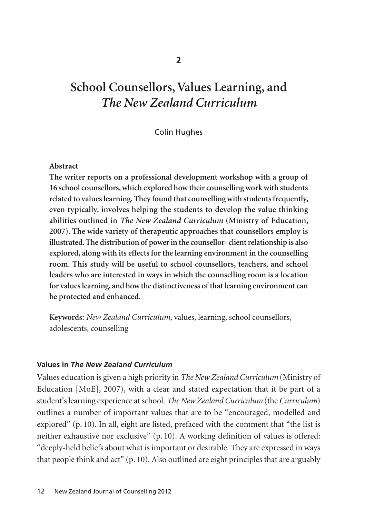# **School Counsellors, Values Learning, and**  *The New Zealand Curriculum*

## Colin Hughes

### **Abstract**

**The writer reports on a professional development workshop with a group of 16 school counsellors, which explored how their counselling work with students related to values learning. They found that counselling with students frequently, even typically, involves helping the students to develop the value thinking abilities outlined in** *The New Zealand Curriculum* **(Ministry of Education, 2007). The wide variety of therapeutic approaches that counsellors employ is illustrated. The distribution of power in the counsellor–client relationship is also explored, along with its effects for the learning environment in the counselling room. This study will be useful to school counsellors, teachers, and school leaders who are interested in ways in which the counselling room is a location for values learning, and how the distinctiveness of that learning environment can be protected and enhanced.**

**Keywords:** *New Zealand Curriculum*, values, learning, school counsellors, adolescents, counselling

## **Values in** *The New Zealand Curriculum*

Values education is given a high priority in *The New Zealand Curriculum* (Ministry of Education [MoE], 2007), with a clear and stated expectation that it be part of a student's learning experience at school. *The New Zealand Curriculum* (the *Curriculum*) outlines a number of important values that are to be "encouraged, modelled and explored" (p. 10). In all, eight are listed, prefaced with the comment that "the list is neither exhaustive nor exclusive" (p. 10). A working definition of values is offered: "deeply-held beliefs about what is important or desirable. They are expressed in ways that people think and act" (p. 10). Also outlined are eight principles that are arguably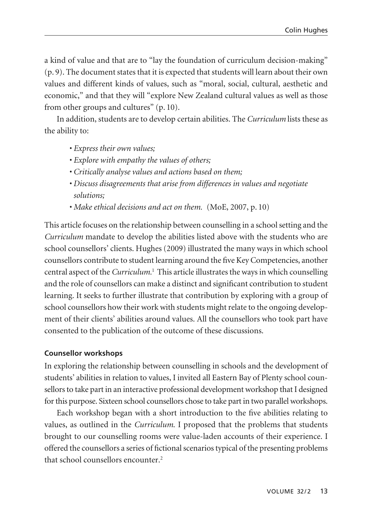a kind of value and that are to "lay the foundation of curriculum decision-making" (p. 9). The document states that it is expected that students will learn about their own values and different kinds of values, such as "moral, social, cultural, aesthetic and economic," and that they will "explore New Zealand cultural values as well as those from other groups and cultures" (p. 10).

In addition, students are to develop certain abilities. The *Curriculum* lists these as the ability to:

- *Express their own values;*
- *Explore with empathy the values of others;*
- *Critically analyse values and actions based on them;*
- *Discuss disagreements that arise from differences in values and negotiate solutions;*
- *Make ethical decisions and act on them.* (MoE, 2007, p. 10)

This article focuses on the relationship between counselling in a school setting and the *Curriculum* mandate to develop the abilities listed above with the students who are school counsellors' clients. Hughes (2009) illustrated the many ways in which school counsellors contribute to student learning around the five Key Competencies, another central aspect of the *Curriculum.*<sup>1</sup> This article illustrates the ways in which counselling and the role of counsellors can make a distinct and significant contribution to student learning. It seeks to further illustrate that contribution by exploring with a group of school counsellors how their work with students might relate to the ongoing develop ment of their clients' abilities around values. All the counsellors who took part have consented to the publication of the outcome of these discussions.

## **Counsellor workshops**

In exploring the relationship between counselling in schools and the development of students' abilities in relation to values, I invited all Eastern Bay of Plenty school counsellors to take part in an interactive professional development workshop that I designed for this purpose. Sixteen school counsellors chose to take part in two parallel workshops.

Each workshop began with a short introduction to the five abilities relating to values, as outlined in the *Curriculum*. I proposed that the problems that students brought to our counselling rooms were value-laden accounts of their experience. I offered the counsellors a series of fictional scenarios typical of the presenting problems that school counsellors encounter.2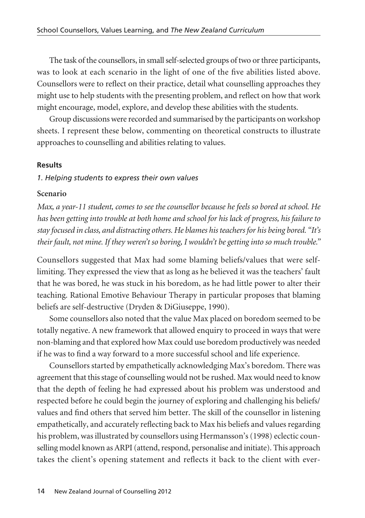The task of the counsellors, in small self-selected groups of two or three participants, was to look at each scenario in the light of one of the five abilities listed above. Counsellors were to reflect on their practice, detail what counselling approaches they might use to help students with the presenting problem, and reflect on how that work might encourage, model, explore, and develop these abilities with the students.

Group discussions were recorded and summarised by the participants on workshop sheets. I represent these below, commenting on theoretical constructs to illustrate approaches to counselling and abilities relating to values.

#### **Results**

#### *1. Helping students to express their own values*

#### **Scenario**

*Max, a year-11 student, comes to see the counsellor because he feels so bored at school. He has been getting into trouble at both home and school for his lack of progress, his failure to stay focused in class, and distracting others. He blames his teachers for his being bored. "It's their fault, not mine. If they weren't so boring, I wouldn't be getting into so much trouble."* 

Counsellors suggested that Max had some blaming beliefs/values that were selflimiting. They expressed the view that as long as he believed it was the teachers' fault that he was bored, he was stuck in his boredom, as he had little power to alter their teaching. Rational Emotive Behaviour Therapy in particular proposes that blaming beliefs are self-destructive (Dryden & DiGiuseppe, 1990).

Some counsellors also noted that the value Max placed on boredom seemed to be totally negative. A new framework that allowed enquiry to proceed in ways that were non-blaming and that explored how Max could use boredom productively was needed if he was to find a way forward to a more successful school and life experience.

Counsellors started by empathetically acknowledging Max's boredom. There was agreement that this stage of counselling would not be rushed. Max would need to know that the depth of feeling he had expressed about his problem was understood and respected before he could begin the journey of exploring and challenging his beliefs/ values and find others that served him better. The skill of the counsellor in listening empathetically, and accurately reflecting back to Max his beliefs and values regarding his problem, was illustrated by counsellors using Hermansson's (1998) eclectic coun selling model known as ARPI (attend, respond, personalise and initiate). This approach takes the client's opening statement and reflects it back to the client with ever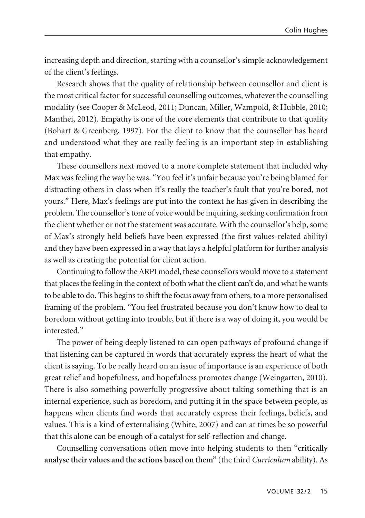increasing depth and direction, starting with a counsellor's simple acknowledgement of the client's feelings.

Research shows that the quality of relationship between counsellor and client is the most critical factor for successful counselling outcomes, whatever the counselling modality (see Cooper & McLeod, 2011; Duncan, Miller, Wampold, & Hubble, 2010; Manthei, 2012). Empathy is one of the core elements that contribute to that quality (Bohart & Greenberg, 1997). For the client to know that the counsellor has heard and understood what they are really feeling is an important step in establishing that empathy.

These counsellors next moved to a more complete statement that included **why** Max was feeling the way he was. "You feel it's unfair because you're being blamed for distracting others in class when it's really the teacher's fault that you're bored, not yours." Here, Max's feelings are put into the context he has given in describing the problem. The counsellor's tone of voice would be inquiring, seeking confirmation from the client whether or not the statement was accurate. With the counsellor's help, some of Max's strongly held beliefs have been expressed (the first values-related ability) and they have been expressed in a way that lays a helpful platform for further analysis as well as creating the potential for client action.

Continuing to follow the ARPI model, these counsellors would move to a statement that places the feeling in the context of both what the client **can't do**, and what he wants to be **able** to do. This begins to shift the focus away from others, to a more personalised framing of the problem. "You feel frustrated because you don't know how to deal to boredom without getting into trouble, but if there is a way of doing it, you would be interested."

The power of being deeply listened to can open pathways of profound change if that listening can be captured in words that accurately express the heart of what the client is saying. To be really heard on an issue of importance is an experience of both great relief and hopefulness, and hopefulness promotes change (Weingarten, 2010). There is also something powerfully progressive about taking something that is an internal experience, such as boredom, and putting it in the space between people, as happens when clients find words that accurately express their feelings, beliefs, and values. This is a kind of externalising (White, 2007) and can at times be so powerful that this alone can be enough of a catalyst for self-reflection and change.

Counselling conversations often move into helping students to then "**critically analyse their values and the actions based on them"** (the third *Curriculum* ability). As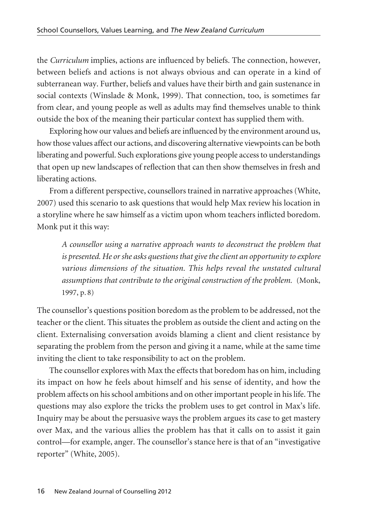the *Curriculum* implies, actions are influenced by beliefs. The connection, however, between beliefs and actions is not always obvious and can operate in a kind of subterranean way. Further, beliefs and values have their birth and gain sustenance in social contexts (Winslade & Monk, 1999). That connection, too, is sometimes far from clear, and young people as well as adults may find themselves unable to think outside the box of the meaning their particular context has supplied them with.

Exploring how our values and beliefs are influenced by the environment around us, how those values affect our actions, and discovering alternative viewpoints can be both liberating and powerful. Such explorations give young people access to understandings that open up new landscapes of reflection that can then show themselves in fresh and liberating actions.

From a different perspective, counsellors trained in narrative approaches (White, 2007) used this scenario to ask questions that would help Max review his location in a storyline where he saw himself as a victim upon whom teachers inflicted boredom. Monk put it this way:

*A counsellor using a narrative approach wants to deconstruct the problem that is presented. He or she asks questions that give the client an opportunity to explore various dimensions of the situation. This helps reveal the unstated cultural assumptions that contribute to the original construction of the problem.* (Monk, 1997, p. 8)

The counsellor's questions position boredom as the problem to be addressed, not the teacher or the client. This situates the problem as outside the client and acting on the client. Externalising conversation avoids blaming a client and client resistance by separating the problem from the person and giving it a name, while at the same time inviting the client to take responsibility to act on the problem.

The counsellor explores with Max the effects that boredom has on him, including its impact on how he feels about himself and his sense of identity, and how the problem affects on his school ambitions and on other important people in his life. The questions may also explore the tricks the problem uses to get control in Max's life. Inquiry may be about the persuasive ways the problem argues its case to get mastery over Max, and the various allies the problem has that it calls on to assist it gain control—for example, anger. The counsellor's stance here is that of an "investigative reporter" (White, 2005).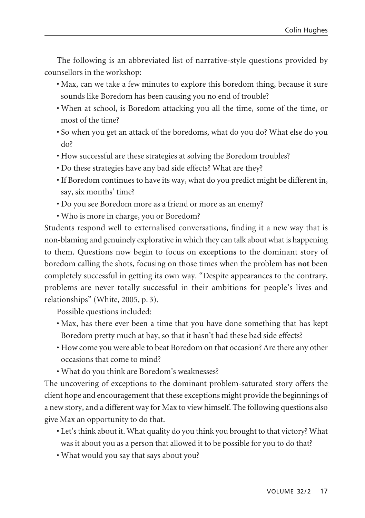The following is an abbreviated list of narrative-style questions provided by counsellors in the workshop:

- Max, can we take a few minutes to explore this boredom thing, because it sure sounds like Boredom has been causing you no end of trouble?
- When at school, is Boredom attacking you all the time, some of the time, or most of the time?
- So when you get an attack of the boredoms, what do you do? What else do you do?
- How successful are these strategies at solving the Boredom troubles?
- Do these strategies have any bad side effects? What are they?
- If Boredom continues to have its way, what do you predict might be different in, say, six months' time?
- Do you see Boredom more as a friend or more as an enemy?
- Who is more in charge, you or Boredom?

Students respond well to externalised conversations, finding it a new way that is non-blaming and genuinely explorative in which they can talk about what is happening to them. Questions now begin to focus on **exceptions** to the dominant story of boredom calling the shots, focusing on those times when the problem has **not** been completely successful in getting its own way. "Despite appearances to the contrary, problems are never totally successful in their ambitions for people's lives and relationships" (White, 2005, p. 3).

Possible questions included:

- Max, has there ever been a time that you have done something that has kept Boredom pretty much at bay, so that it hasn't had these bad side effects?
- How come you were able to beat Boredom on that occasion? Are there any other occasions that come to mind?
- What do you think are Boredom's weaknesses?

The uncovering of exceptions to the dominant problem-saturated story offers the client hope and encouragement that these exceptions might provide the beginnings of a new story, and a different way for Max to view himself. The following questions also give Max an opportunity to do that.

- Let's think about it. What quality do you think you brought to that victory? What was it about you as a person that allowed it to be possible for you to do that?
- What would you say that says about you?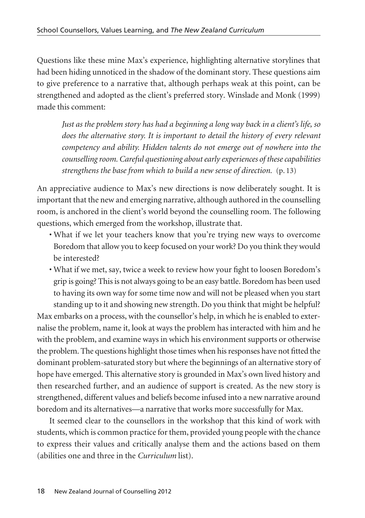Questions like these mine Max's experience, highlighting alternative storylines that had been hiding unnoticed in the shadow of the dominant story. These questions aim to give preference to a narrative that, although perhaps weak at this point, can be strengthened and adopted as the client's preferred story. Winslade and Monk (1999) made this comment:

*Just as the problem story has had a beginning a long way back in a client's life, so does the alternative story. It is important to detail the history of every relevant competency and ability. Hidden talents do not emerge out of nowhere into the counselling room. Careful questioning about early experiences of these capabilities strengthens the base from which to build a new sense of direction.* (p. 13)

An appreciative audience to Max's new directions is now deliberately sought. It is important that the new and emerging narrative, although authored in the counselling room, is anchored in the client's world beyond the counselling room. The following questions, which emerged from the workshop, illustrate that.

- What if we let your teachers know that you're trying new ways to overcome Boredom that allow you to keep focused on your work? Do you think they would be interested?
- What if we met, say, twice a week to review how your fight to loosen Boredom's grip is going? This is not always going to be an easy battle. Boredom has been used to having its own way for some time now and will not be pleased when you start standing up to it and showing new strength. Do you think that might be helpful?

Max embarks on a process, with the counsellor's help, in which he is enabled to externalise the problem, name it, look at ways the problem has interacted with him and he with the problem, and examine ways in which his environment supports or otherwise the problem. The questions highlight those times when his responses have not fitted the dominant problem-saturated story but where the beginnings of an alternative story of hope have emerged. This alternative story is grounded in Max's own lived history and then researched further, and an audience of support is created. As the new story is strengthened, different values and beliefs become infused into a new narrative around boredom and its alternatives—a narrative that works more successfully for Max.

It seemed clear to the counsellors in the workshop that this kind of work with students, which is common practice for them, provided young people with the chance to express their values and critically analyse them and the actions based on them (abilities one and three in the *Curriculum* list).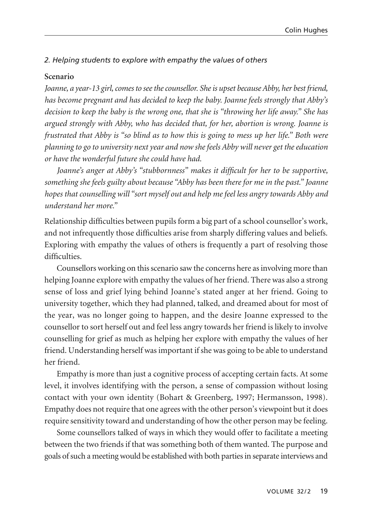## *2. Helping students to explore with empathy the values of others*

## **Scenario**

*Joanne, a year-13 girl, comes to see the counsellor. She is upset because Abby, her best friend, has become pregnant and has decided to keep the baby. Joanne feels strongly that Abby's decision to keep the baby is the wrong one, that she is "throwing her life away." She has argued strongly with Abby, who has decided that, for her, abortion is wrong. Joanne is frustrated that Abby is "so blind as to how this is going to mess up her life." Both were planning to go to university next year and now she feels Abby will never get the education or have the wonderful future she could have had.* 

*Joanne's anger at Abby's "stubbornness" makes it difficult for her to be supportive, something she feels guilty about because "Abby has been there for me in the past." Joanne hopes that counselling will "sort myself out and help me feel less angry towards Abby and understand her more."*

Relationship difficulties between pupils form a big part of a school counsellor's work, and not infrequently those difficulties arise from sharply differing values and beliefs. Exploring with empathy the values of others is frequently a part of resolving those difficulties.

Counsellors working on this scenario saw the concerns here as involving more than helping Joanne explore with empathy the values of her friend. There was also a strong sense of loss and grief lying behind Joanne's stated anger at her friend. Going to university together, which they had planned, talked, and dreamed about for most of the year, was no longer going to happen, and the desire Joanne expressed to the counsellor to sort herself out and feel less angry towards her friend is likely to involve counselling for grief as much as helping her explore with empathy the values of her friend. Understanding herself was important if she was going to be able to understand her friend.

Empathy is more than just a cognitive process of accepting certain facts. At some level, it involves identifying with the person, a sense of compassion without losing contact with your own identity (Bohart & Greenberg, 1997; Hermansson, 1998). Empathy does not require that one agrees with the other person's viewpoint but it does require sensitivity toward and understanding of how the other person may be feeling.

Some counsellors talked of ways in which they would offer to facilitate a meeting between the two friends if that was something both of them wanted. The purpose and goals of such a meeting would be established with both parties in separate interviews and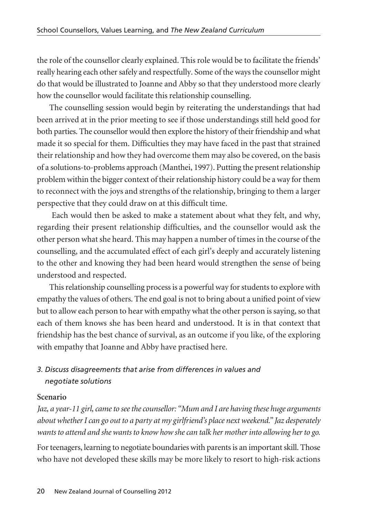the role of the counsellor clearly explained. This role would be to facilitate the friends' really hearing each other safely and respectfully. Some of the ways the counsellor might do that would be illustrated to Joanne and Abby so that they understood more clearly how the counsellor would facilitate this relationship counselling.

The counselling session would begin by reiterating the understandings that had been arrived at in the prior meeting to see if those understandings still held good for both parties. The counsellor would then explore the history of their friendship and what made it so special for them. Difficulties they may have faced in the past that strained their relationship and how they had overcome them may also be covered, on the basis of a solutions-to-problems approach (Manthei, 1997). Putting the present relationship problem within the bigger context of their relationship history could be a way for them to reconnect with the joys and strengths of the relationship, bringing to them a larger perspective that they could draw on at this difficult time.

Each would then be asked to make a statement about what they felt, and why, regarding their present relationship difficulties, and the counsellor would ask the other person what she heard. This may happen a number of times in the course of the counselling, and the accumulated effect of each girl's deeply and accurately listening to the other and knowing they had been heard would strengthen the sense of being understood and respected.

This relationship counselling process is a powerful way for students to explore with empathy the values of others. The end goal is not to bring about a unified point of view but to allow each person to hear with empathy what the other person is saying, so that each of them knows she has been heard and understood. It is in that context that friendship has the best chance of survival, as an outcome if you like, of the exploring with empathy that Joanne and Abby have practised here.

## *3. Discuss disagreements that arise from differences in values and negotiate solutions*

## **Scenario**

*Jaz, a year-11 girl, came to see the counsellor: "Mum and I are having these huge arguments about whether I can go out to a party at my girlfriend's place next weekend." Jaz desperately wants to attend and she wants to know how she can talk her mother into allowing her to go.*

For teenagers, learning to negotiate boundaries with parents is an important skill. Those who have not developed these skills may be more likely to resort to high-risk actions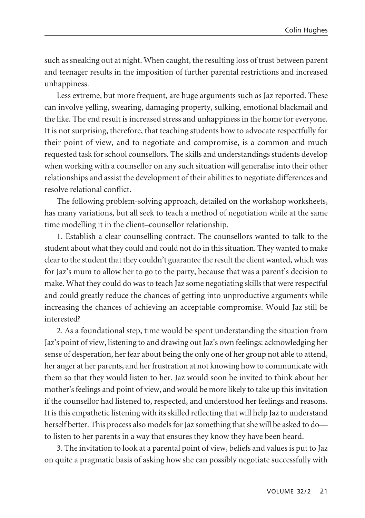such as sneaking out at night. When caught, the resulting loss of trust between parent and teenager results in the imposition of further parental restrictions and increased unhappiness.

Less extreme, but more frequent, are huge arguments such as Jaz reported. These can involve yelling, swearing, damaging property, sulking, emotional blackmail and the like. The end result is increased stress and unhappiness in the home for everyone. It is not surprising, therefore, that teaching students how to advocate respectfully for their point of view, and to negotiate and compromise, is a common and much requested task for school counsellors. The skills and understandings students develop when working with a counsellor on any such situation will generalise into their other relationships and assist the development of their abilities to negotiate differences and resolve relational conflict.

The following problem-solving approach, detailed on the workshop worksheets, has many variations, but all seek to teach a method of negotiation while at the same time modelling it in the client–counsellor relationship.

1. Establish a clear counselling contract. The counsellors wanted to talk to the student about what they could and could not do in this situation. They wanted to make clear to the student that they couldn't guarantee the result the client wanted, which was for Jaz's mum to allow her to go to the party, because that was a parent's decision to make. What they could do was to teach Jaz some negotiating skills that were respectful and could greatly reduce the chances of getting into unproductive arguments while increasing the chances of achieving an acceptable compromise. Would Jaz still be interested?

2. As a foundational step, time would be spent understanding the situation from Jaz's point of view, listening to and drawing out Jaz's own feelings: acknowledging her sense of desperation, her fear about being the only one of her group not able to attend, her anger at her parents, and her frustration at not knowing how to communicate with them so that they would listen to her. Jaz would soon be invited to think about her mother's feelings and point of view, and would be more likely to take up this invitation if the counsellor had listened to, respected, and understood her feelings and reasons. It is this empathetic listening with its skilled reflecting that will help Jaz to understand herself better. This process also models for Jaz something that she will be asked to do to listen to her parents in a way that ensures they know they have been heard.

3. The invitation to look at a parental point of view, beliefs and values is put to Jaz on quite a pragmatic basis of asking how she can possibly negotiate successfully with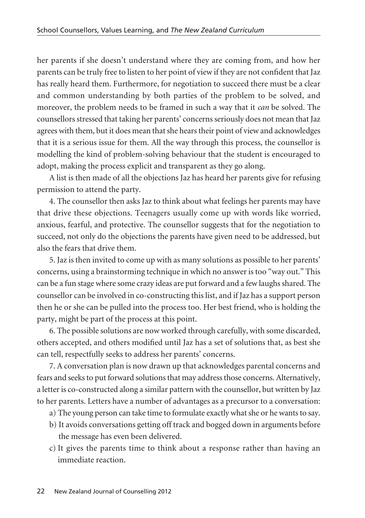her parents if she doesn't understand where they are coming from, and how her parents can be truly free to listen to her point of view if they are not confident that Jaz has really heard them. Furthermore, for negotiation to succeed there must be a clear and common understanding by both parties of the problem to be solved, and moreover, the problem needs to be framed in such a way that it *can* be solved. The counsellors stressed that taking her parents' concerns seriously does not mean that Jaz agrees with them, but it does mean that she hears their point of view and acknowledges that it is a serious issue for them. All the way through this process, the counsellor is modelling the kind of problem-solving behaviour that the student is encouraged to adopt, making the process explicit and transparent as they go along.

A list is then made of all the objections Jaz has heard her parents give for refusing permission to attend the party.

4. The counsellor then asks Jaz to think about what feelings her parents may have that drive these objections. Teenagers usually come up with words like worried, anxious, fearful, and protective. The counsellor suggests that for the negotiation to succeed, not only do the objections the parents have given need to be addressed, but also the fears that drive them.

5. Jaz is then invited to come up with as many solutions as possible to her parents' concerns, using a brainstorming technique in which no answer is too "way out." This can be a fun stage where some crazy ideas are put forward and a few laughs shared. The counsellor can be involved in co-constructing this list, and if Jaz has a support person then he or she can be pulled into the process too. Her best friend, who is holding the party, might be part of the process at this point.

6. The possible solutions are now worked through carefully, with some discarded, others accepted, and others modified until Jaz has a set of solutions that, as best she can tell, respectfully seeks to address her parents' concerns.

7. A conversation plan is now drawn up that acknowledges parental concerns and fears and seeks to put forward solutions that may address those concerns. Alternatively, a letter is co-constructed along a similar pattern with the counsellor, but written by Jaz to her parents. Letters have a number of advantages as a precursor to a conversation:

- a) The young person can take time to formulate exactly what she or he wants to say.
- b) It avoids conversations getting off track and bogged down in arguments before the message has even been delivered.
- c) It gives the parents time to think about a response rather than having an immediate reaction.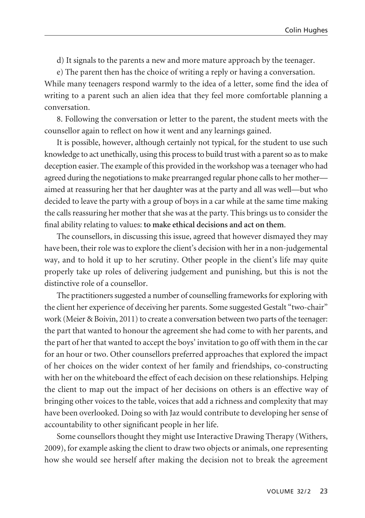d) It signals to the parents a new and more mature approach by the teenager.

e) The parent then has the choice of writing a reply or having a conversation.

While many teenagers respond warmly to the idea of a letter, some find the idea of writing to a parent such an alien idea that they feel more comfortable planning a conversation.

8. Following the conversation or letter to the parent, the student meets with the counsellor again to reflect on how it went and any learnings gained.

It is possible, however, although certainly not typical, for the student to use such knowledge to act unethically, using this process to build trust with a parent so as to make deception easier. The example of this provided in the workshop was a teenager who had agreed during the negotiations to make prearranged regular phone calls to her mother aimed at reassuring her that her daughter was at the party and all was well—but who decided to leave the party with a group of boys in a car while at the same time making the calls reassuring her mother that she was at the party. This brings us to consider the final ability relating to values: **to make ethical decisions and act on them**.

The counsellors, in discussing this issue, agreed that however dismayed they may have been, their role was to explore the client's decision with her in a non-judgemental way, and to hold it up to her scrutiny. Other people in the client's life may quite properly take up roles of delivering judgement and punishing, but this is not the distinctive role of a counsellor.

The practitioners suggested a number of counselling frameworks for exploring with the client her experience of deceiving her parents. Some suggested Gestalt "two-chair" work (Meier & Boivin, 2011) to create a conversation between two parts of the teenager: the part that wanted to honour the agreement she had come to with her parents, and the part of her that wanted to accept the boys' invitation to go off with them in the car for an hour or two. Other counsellors preferred approaches that explored the impact of her choices on the wider context of her family and friendships, co-constructing with her on the whiteboard the effect of each decision on these relationships. Helping the client to map out the impact of her decisions on others is an effective way of bringing other voices to the table, voices that add a richness and complexity that may have been overlooked. Doing so with Jaz would contribute to developing her sense of accountability to other significant people in her life.

Some counsellors thought they might use Interactive Drawing Therapy (Withers, 2009), for example asking the client to draw two objects or animals, one representing how she would see herself after making the decision not to break the agreement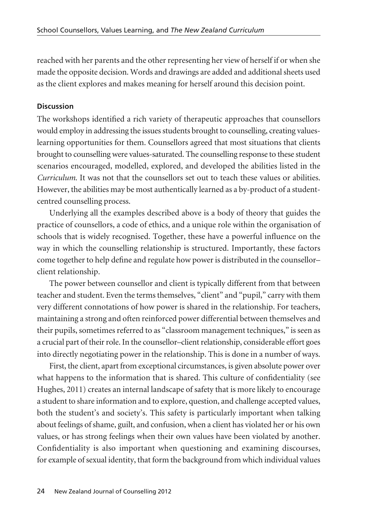reached with her parents and the other representing her view of herself if or when she made the opposite decision. Words and drawings are added and additional sheets used as the client explores and makes meaning for herself around this decision point.

## **Discussion**

The workshops identified a rich variety of therapeutic approaches that counsellors would employ in addressing the issues students brought to counselling, creating valueslearning opportunities for them. Counsellors agreed that most situations that clients brought to counselling were values-saturated. The counselling response to these student scenarios encouraged, modelled, explored, and developed the abilities listed in the *Curriculum*. It was not that the counsellors set out to teach these values or abilities. However, the abilities may be most authentically learned as a by-product of a studentcentred counselling process.

Underlying all the examples described above is a body of theory that guides the practice of counsellors, a code of ethics, and a unique role within the organisation of schools that is widely recognised. Together, these have a powerful influence on the way in which the counselling relationship is structured. Importantly, these factors come together to help define and regulate how power is distributed in the counsellor– client relationship.

The power between counsellor and client is typically different from that between teacher and student. Even the terms themselves, "client" and "pupil," carry with them very different connotations of how power is shared in the relationship. For teachers, maintaining a strong and often reinforced power differential between themselves and their pupils, sometimes referred to as "classroom management techniques," is seen as a crucial part of their role. In the counsellor–client relationship, considerable effort goes into directly negotiating power in the relationship. This is done in a number of ways.

First, the client, apart from exceptional circumstances, is given absolute power over what happens to the information that is shared. This culture of confidentiality (see Hughes, 2011) creates an internal landscape of safety that is more likely to encourage a student to share information and to explore, question, and challenge accepted values, both the student's and society's. This safety is particularly important when talking about feelings of shame, guilt, and confusion, when a client has violated her or his own values, or has strong feelings when their own values have been violated by another. Confidentiality is also important when questioning and examining discourses, for example of sexual identity, that form the background from which individual values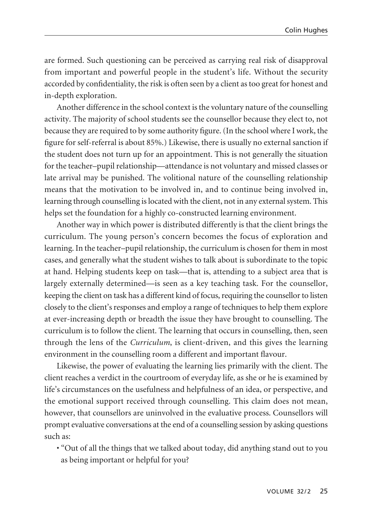are formed. Such questioning can be perceived as carrying real risk of disapproval from important and powerful people in the student's life. Without the security accorded by confidentiality, the risk is often seen by a client as too great for honest and in-depth exploration.

Another difference in the school context is the voluntary nature of the counselling activity. The majority of school students see the counsellor because they elect to, not because they are required to by some authority figure. (In the school where I work, the figure for self-referral is about 85%.) Likewise, there is usually no external sanction if the student does not turn up for an appointment. This is not generally the situation for the teacher–pupil relationship—attendance is not voluntary and missed classes or late arrival may be punished. The volitional nature of the counselling relationship means that the motivation to be involved in, and to continue being involved in, learning through counselling is located with the client, not in any external system. This helps set the foundation for a highly co-constructed learning environment.

Another way in which power is distributed differently is that the client brings the curriculum. The young person's concern becomes the focus of exploration and learning. In the teacher–pupil relationship, the curriculum is chosen for them in most cases, and generally what the student wishes to talk about is subordinate to the topic at hand. Helping students keep on task—that is, attending to a subject area that is largely externally determined—is seen as a key teaching task. For the counsellor, keeping the client on task has a different kind of focus, requiring the counsellor to listen closely to the client's responses and employ a range of techniques to help them explore at ever-increasing depth or breadth the issue they have brought to counselling. The curriculum is to follow the client. The learning that occurs in counselling, then, seen through the lens of the *Curriculum*, is client-driven, and this gives the learning environment in the counselling room a different and important flavour.

Likewise, the power of evaluating the learning lies primarily with the client. The client reaches a verdict in the courtroom of everyday life, as she or he is examined by life's circumstances on the usefulness and helpfulness of an idea, or perspective, and the emotional support received through counselling. This claim does not mean, however, that counsellors are uninvolved in the evaluative process. Counsellors will prompt evaluative conversations at the end of a counselling session by asking questions such as:

• "Out of all the things that we talked about today, did anything stand out to you as being important or helpful for you?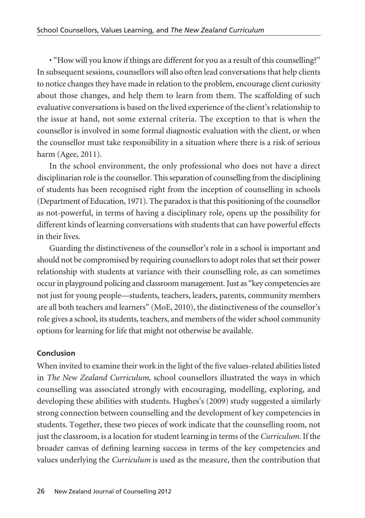• "How will you know if things are different for you as a result of this counselling?" In subsequent sessions, counsellors will also often lead conversations that help clients to notice changes they have made in relation to the problem, encourage client curiosity about those changes, and help them to learn from them. The scaffolding of such evaluative conversations is based on the lived experience of the client's relationship to the issue at hand, not some external criteria. The exception to that is when the counsellor is involved in some formal diagnostic evaluation with the client, or when the counsellor must take responsibility in a situation where there is a risk of serious harm (Agee, 2011).

In the school environment, the only professional who does not have a direct disciplinarian role is the counsellor. This separation of counselling from the disciplining of students has been recognised right from the inception of counselling in schools (Department of Education, 1971). The paradox is that this positioning of the counsellor as not-powerful, in terms of having a disciplinary role, opens up the possibility for different kinds of learning conversations with students that can have powerful effects in their lives.

Guarding the distinctiveness of the counsellor's role in a school is important and should not be compromised by requiring counsellors to adopt roles that set their power relationship with students at variance with their counselling role, as can sometimes occur in playground policing and classroom management. Just as "key competencies are not just for young people—students, teachers, leaders, parents, community members are all both teachers and learners" (MoE, 2010), the distinctiveness of the counsellor's role gives a school, its students, teachers, and members of the wider school community options for learning for life that might not otherwise be available.

## **Conclusion**

When invited to examine their work in the light of the five values-related abilities listed in *The New Zealand Curriculum*, school counsellors illustrated the ways in which counselling was associated strongly with encouraging, modelling, exploring, and developing these abilities with students. Hughes's (2009) study suggested a similarly strong connection between counselling and the development of key competencies in students. Together, these two pieces of work indicate that the counselling room, not just the classroom, is a location for student learning in terms of the *Curriculum*. If the broader canvas of defining learning success in terms of the key competencies and values underlying the *Curriculum* is used as the measure, then the contribution that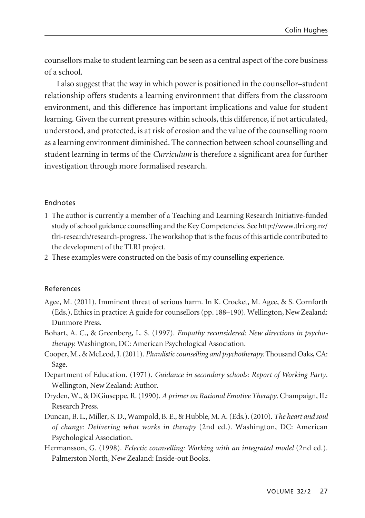counsellors make to student learning can be seen as a central aspect of the core business of a school.

I also suggest that the way in which power is positioned in the counsellor–student relationship offers students a learning environment that differs from the classroom environment, and this difference has important implications and value for student learning. Given the current pressures within schools, this difference, if not articulated, understood, and protected, is at risk of erosion and the value of the counselling room as a learning environment diminished. The connection between school counselling and student learning in terms of the *Curriculum* is therefore a significant area for further investigation through more formalised research.

### Endnotes

- 1 The author is currently a member of a Teaching and Learning Research Initiative-funded study of school guidance counselling and the Key Competencies. See http://www.tlri.org.nz/ tlri-research/research-progress. The workshop that is the focus of this article contributed to the development of the TLRI project.
- 2 These examples were constructed on the basis of my counselling experience.

#### References

- Agee, M. (2011). Imminent threat of serious harm. In K. Crocket, M. Agee, & S. Cornforth (Eds.), Ethics in practice: A guide for counsellors (pp. 188–190). Wellington, New Zealand: Dunmore Press.
- Bohart, A. C., & Greenberg, L. S. (1997). *Empathy reconsidered: New directions in psychotherapy.* Washington, DC: American Psychological Association.
- Cooper, M., & McLeod, J. (2011). *Pluralistic counselling and psychotherapy.* Thousand Oaks, CA: Sage.
- Department of Education. (1971). *Guidance in secondary schools: Report of Working Party*. Wellington, New Zealand: Author.
- Dryden, W., & DiGiuseppe, R. (1990). *A primer on Rational Emotive Therapy*. Champaign, IL: Research Press.
- Duncan, B. L., Miller, S. D., Wampold, B. E., & Hubble, M. A. (Eds.). (2010). *The heart and soul of change: Delivering what works in therapy* (2nd ed.). Washington, DC: American Psychological Association.
- Hermansson, G. (1998). *Eclectic counselling: Working with an integrated model* (2nd ed.). Palmerston North, New Zealand: Inside-out Books.